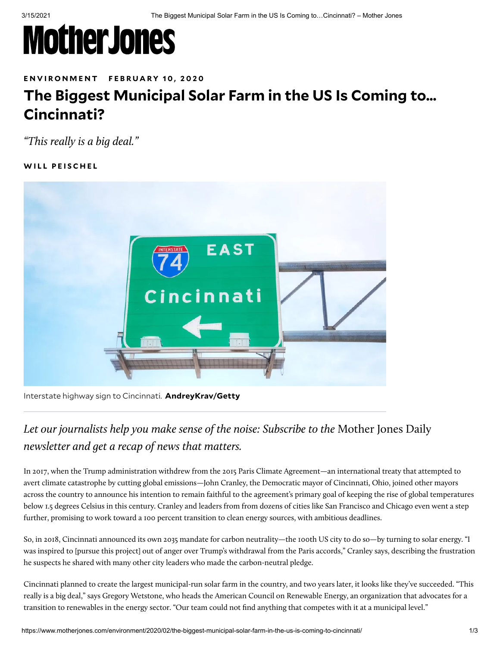# **MotherJones**

### ENVIRON[M](https://www.motherjones.com/environment/)ENT FEBRUARY 10, 2020

## **The Biggest Municipal Solar Farm in the US Is Coming to… Cincinnati?**

"This really is a big deal."

### **[W](https://www.motherjones.com/author/will-peischel/) I L L P E I S C H E L**



Interstate highway sign to Cincinnati. **AndreyKrav/Getty**

### Let our journalists help you make sense of the noise: Subscribe to the [Mother Jones Daily](https://www.motherjones.com/newsletters/?mj_oac=Article_Top_Election_Noise) newsletter and get a recap of news that matters.

In 2017, when the Trump administration [withdrew](https://www.motherjones.com/environment/2017/06/trump-pulls-out-paris-climate-deal/) from the 2015 Paris Climate Agreement—an international treaty that attempted to avert climate catastrophe by cutting global emissions—John Cranley, the Democratic mayor of Cincinnati, Ohio, [joined](https://medium.com/@ClimateMayors/climate-mayors-commit-to-adopt-honor-and-uphold-paris-climate-agreement-goals-ba566e260097) other mayors across the country to [announce](http://climatemayors.org/actions/paris-climate-agreement/) his intention to remain faithful to the agreement's primary goal of keeping the [rise of global temperatures](https://unfccc.int/process-and-meetings/the-paris-agreement/the-paris-agreement) [below 1.5 degrees Celsius in this century. Cranley and leaders from from dozens of cities like San Francisco and Chicago even](https://www.sierraclub.org/ready-for-100/commitments) went a step further, promising to work toward a 100 percent transition to clean energy sources, with ambitious deadlines.

So, in 2018, [Cincinnati announced](https://www.sierraclub.org/press-releases/2019/03/cincinnati-becomes-100th-us-city-committed-100-percent-clean-renewable-energy) its own 2035 mandate for carbon neutrality—the 100th US city to do so—by turning to solar energy. "I was inspired to [pursue this project] out of anger over Trump's withdrawal from the Paris accords," Cranley says, describing the frustration he suspects he shared with many other city leaders who made the carbon-neutral pledge.

Cincinnati planned to create the largest municipal-run solar farm in the country, and two years later, it looks like they've succeeded. "This really is a big deal," says Gregory Wetstone, who heads the American Council on Renewable Energy, an organization that advocates for a transition to renewables in the energy sector. "Our team could not find anything that competes with it at a municipal level."